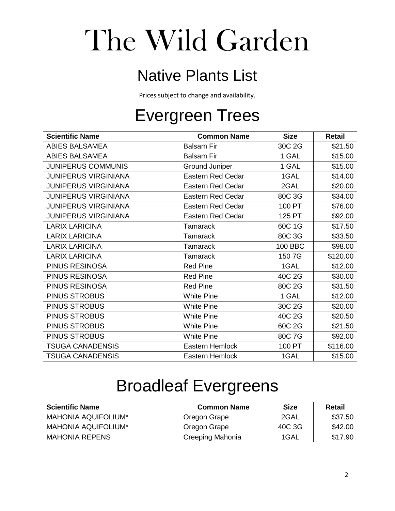# The Wild Garden

#### Native Plants List

Prices subject to change and availability.

# Evergreen Trees

| <b>Scientific Name</b>      | <b>Common Name</b>       | <b>Size</b> | <b>Retail</b> |
|-----------------------------|--------------------------|-------------|---------------|
| <b>ABIES BALSAMEA</b>       | <b>Balsam Fir</b>        | 30C 2G      | \$21.50       |
| <b>ABIES BALSAMEA</b>       | <b>Balsam Fir</b>        | 1 GAL       | \$15.00       |
| <b>JUNIPERUS COMMUNIS</b>   | <b>Ground Juniper</b>    | 1 GAL       | \$15.00       |
| <b>JUNIPERUS VIRGINIANA</b> | <b>Eastern Red Cedar</b> | 1GAL        | \$14.00       |
| <b>JUNIPERUS VIRGINIANA</b> | <b>Eastern Red Cedar</b> | 2GAL        | \$20.00       |
| <b>JUNIPERUS VIRGINIANA</b> | <b>Eastern Red Cedar</b> | 80C 3G      | \$34.00       |
| <b>JUNIPERUS VIRGINIANA</b> | <b>Eastern Red Cedar</b> | 100 PT      | \$76.00       |
| <b>JUNIPERUS VIRGINIANA</b> | <b>Eastern Red Cedar</b> | 125 PT      | \$92.00       |
| <b>LARIX LARICINA</b>       | <b>Tamarack</b>          | 60C 1G      | \$17.50       |
| <b>LARIX LARICINA</b>       | Tamarack                 | 80C 3G      | \$33.50       |
| <b>LARIX LARICINA</b>       | <b>Tamarack</b>          | 100 BBC     | \$98.00       |
| <b>LARIX LARICINA</b>       | Tamarack                 | 150 7G      | \$120.00      |
| PINUS RESINOSA              | <b>Red Pine</b>          | 1GAL        | \$12.00       |
| PINUS RESINOSA              | <b>Red Pine</b>          | 40C 2G      | \$30.00       |
| PINUS RESINOSA              | <b>Red Pine</b>          | 80C 2G      | \$31.50       |
| <b>PINUS STROBUS</b>        | <b>White Pine</b>        | 1 GAL       | \$12.00       |
| <b>PINUS STROBUS</b>        | <b>White Pine</b>        | 30C 2G      | \$20.00       |
| PINUS STROBUS               | <b>White Pine</b>        | 40C 2G      | \$20.50       |
| <b>PINUS STROBUS</b>        | <b>White Pine</b>        | 60C 2G      | \$21.50       |
| PINUS STROBUS               | <b>White Pine</b>        | 80C 7G      | \$92.00       |
| <b>TSUGA CANADENSIS</b>     | Eastern Hemlock          | 100 PT      | \$116.00      |
| <b>TSUGA CANADENSIS</b>     | Eastern Hemlock          | 1GAL        | \$15.00       |

## Broadleaf Evergreens

| <b>Scientific Name</b>     | <b>Common Name</b> | <b>Size</b> | Retail  |
|----------------------------|--------------------|-------------|---------|
| <b>MAHONIA AQUIFOLIUM*</b> | Oregon Grape       | 2GAL        | \$37.50 |
| <b>MAHONIA AQUIFOLIUM*</b> | Oregon Grape       | 40C 3G      | \$42.00 |
| <b>MAHONIA REPENS</b>      | Creeping Mahonia   | 1GAL        | \$17.90 |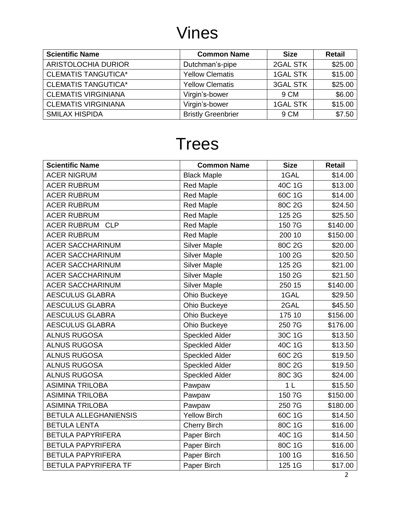## Vines

| <b>Scientific Name</b>     | <b>Common Name</b>        | <b>Size</b>     | <b>Retail</b> |
|----------------------------|---------------------------|-----------------|---------------|
| ARISTOLOCHIA DURIOR        | Dutchman's-pipe           | 2GAL STK        | \$25.00       |
| <b>CLEMATIS TANGUTICA*</b> | <b>Yellow Clematis</b>    | <b>1GAL STK</b> | \$15.00       |
| <b>CLEMATIS TANGUTICA*</b> | <b>Yellow Clematis</b>    | <b>3GAL STK</b> | \$25.00       |
| <b>CLEMATIS VIRGINIANA</b> | Virgin's-bower            | 9 CM            | \$6.00        |
| <b>CLEMATIS VIRGINIANA</b> | Virgin's-bower            | <b>1GAL STK</b> | \$15.00       |
| <b>SMILAX HISPIDA</b>      | <b>Bristly Greenbrier</b> | 9 CM            | \$7.50        |

## **Trees**

| <b>Scientific Name</b>           | <b>Common Name</b>    | <b>Size</b>    | <b>Retail</b> |
|----------------------------------|-----------------------|----------------|---------------|
| <b>ACER NIGRUM</b>               | <b>Black Maple</b>    | 1GAL           | \$14.00       |
| <b>ACER RUBRUM</b>               | <b>Red Maple</b>      | 40C 1G         | \$13.00       |
| <b>ACER RUBRUM</b>               | <b>Red Maple</b>      | 60C 1G         | \$14.00       |
| <b>ACER RUBRUM</b>               | <b>Red Maple</b>      | 80C 2G         | \$24.50       |
| <b>ACER RUBRUM</b>               | <b>Red Maple</b>      | 125 2G         | \$25.50       |
| <b>ACER RUBRUM</b><br><b>CLP</b> | <b>Red Maple</b>      | 150 7G         | \$140.00      |
| <b>ACER RUBRUM</b>               | <b>Red Maple</b>      | 200 10         | \$150.00      |
| <b>ACER SACCHARINUM</b>          | <b>Silver Maple</b>   | 80C 2G         | \$20.00       |
| <b>ACER SACCHARINUM</b>          | <b>Silver Maple</b>   | 100 2G         | \$20.50       |
| <b>ACER SACCHARINUM</b>          | <b>Silver Maple</b>   | 125 2G         | \$21.00       |
| <b>ACER SACCHARINUM</b>          | <b>Silver Maple</b>   | 150 2G         | \$21.50       |
| <b>ACER SACCHARINUM</b>          | <b>Silver Maple</b>   | 250 15         | \$140.00      |
| <b>AESCULUS GLABRA</b>           | Ohio Buckeye          | 1GAL           | \$29.50       |
| <b>AESCULUS GLABRA</b>           | Ohio Buckeye          | 2GAL           | \$45.50       |
| <b>AESCULUS GLABRA</b>           | Ohio Buckeye          | 175 10         | \$156.00      |
| <b>AESCULUS GLABRA</b>           | Ohio Buckeye          | 250 7G         | \$176.00      |
| <b>ALNUS RUGOSA</b>              | <b>Speckled Alder</b> | 30C 1G         | \$13.50       |
| <b>ALNUS RUGOSA</b>              | <b>Speckled Alder</b> | 40C 1G         | \$13.50       |
| <b>ALNUS RUGOSA</b>              | <b>Speckled Alder</b> | 60C 2G         | \$19.50       |
| <b>ALNUS RUGOSA</b>              | <b>Speckled Alder</b> | 80C 2G         | \$19.50       |
| <b>ALNUS RUGOSA</b>              | <b>Speckled Alder</b> | 80C 3G         | \$24.00       |
| <b>ASIMINA TRILOBA</b>           | Pawpaw                | 1 <sub>L</sub> | \$15.50       |
| <b>ASIMINA TRILOBA</b>           | Pawpaw                | 150 7G         | \$150.00      |
| <b>ASIMINA TRILOBA</b>           | Pawpaw                | 250 7G         | \$180.00      |
| <b>BETULA ALLEGHANIENSIS</b>     | <b>Yellow Birch</b>   | 60C 1G         | \$14.50       |
| <b>BETULA LENTA</b>              | <b>Cherry Birch</b>   | 80C 1G         | \$16.00       |
| <b>BETULA PAPYRIFERA</b>         | Paper Birch           | 40C 1G         | \$14.50       |
| <b>BETULA PAPYRIFERA</b>         | Paper Birch           | 80C 1G         | \$16.00       |
| <b>BETULA PAPYRIFERA</b>         | Paper Birch           | 100 1G         | \$16.50       |
| BETULA PAPYRIFERA TF             | Paper Birch           | 125 1G         | \$17.00       |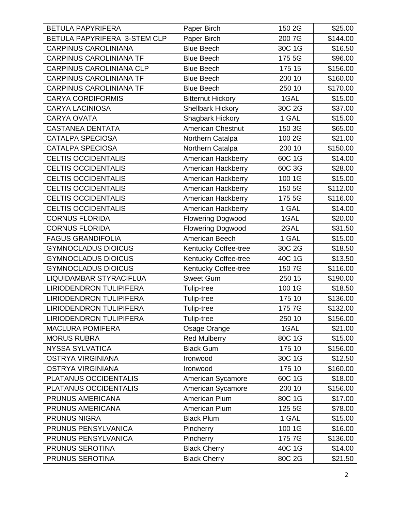| <b>BETULA PAPYRIFERA</b>       | Paper Birch              | 150 2G | \$25.00  |
|--------------------------------|--------------------------|--------|----------|
| BETULA PAPYRIFERA 3-STEM CLP   | Paper Birch              | 200 7G | \$144.00 |
| <b>CARPINUS CAROLINIANA</b>    | <b>Blue Beech</b>        | 30C 1G | \$16.50  |
| <b>CARPINUS CAROLINIANA TF</b> | <b>Blue Beech</b>        | 175 5G | \$96.00  |
| CARPINUS CAROLINIANA CLP       | <b>Blue Beech</b>        | 175 15 | \$156.00 |
| <b>CARPINUS CAROLINIANA TF</b> | <b>Blue Beech</b>        | 200 10 | \$160.00 |
| <b>CARPINUS CAROLINIANA TF</b> | <b>Blue Beech</b>        | 250 10 | \$170.00 |
| <b>CARYA CORDIFORMIS</b>       | <b>Bitternut Hickory</b> | 1GAL   | \$15.00  |
| <b>CARYA LACINIOSA</b>         | <b>Shellbark Hickory</b> | 30C 2G | \$37.00  |
| <b>CARYA OVATA</b>             | <b>Shagbark Hickory</b>  | 1 GAL  | \$15.00  |
| <b>CASTANEA DENTATA</b>        | <b>American Chestnut</b> | 150 3G | \$65.00  |
| <b>CATALPA SPECIOSA</b>        | Northern Catalpa         | 100 2G | \$21.00  |
| <b>CATALPA SPECIOSA</b>        | Northern Catalpa         | 200 10 | \$150.00 |
| <b>CELTIS OCCIDENTALIS</b>     | American Hackberry       | 60C 1G | \$14.00  |
| <b>CELTIS OCCIDENTALIS</b>     | American Hackberry       | 60C 3G | \$28.00  |
| <b>CELTIS OCCIDENTALIS</b>     | American Hackberry       | 100 1G | \$15.00  |
| <b>CELTIS OCCIDENTALIS</b>     | American Hackberry       | 150 5G | \$112.00 |
| <b>CELTIS OCCIDENTALIS</b>     | American Hackberry       | 175 5G | \$116.00 |
| <b>CELTIS OCCIDENTALIS</b>     | American Hackberry       | 1 GAL  | \$14.00  |
| <b>CORNUS FLORIDA</b>          | <b>Flowering Dogwood</b> | 1GAL   | \$20.00  |
| <b>CORNUS FLORIDA</b>          | <b>Flowering Dogwood</b> | 2GAL   | \$31.50  |
| <b>FAGUS GRANDIFOLIA</b>       | American Beech           | 1 GAL  | \$15.00  |
| <b>GYMNOCLADUS DIOICUS</b>     | Kentucky Coffee-tree     | 30C 2G | \$18.50  |
| <b>GYMNOCLADUS DIOICUS</b>     | Kentucky Coffee-tree     | 40C 1G | \$13.50  |
| <b>GYMNOCLADUS DIOICUS</b>     | Kentucky Coffee-tree     | 150 7G | \$116.00 |
| LIQUIDAMBAR STYRACIFLUA        | <b>Sweet Gum</b>         | 250 15 | \$190.00 |
| LIRIODENDRON TULIPIFERA        | Tulip-tree               | 100 1G | \$18.50  |
| <b>LIRIODENDRON TULIPIFERA</b> | Tulip-tree               | 175 10 | \$136.00 |
| <b>LIRIODENDRON TULIPIFERA</b> | Tulip-tree               | 175 7G | \$132.00 |
| <b>LIRIODENDRON TULIPIFERA</b> | Tulip-tree               | 250 10 | \$156.00 |
| <b>MACLURA POMIFERA</b>        | Osage Orange             | 1GAL   | \$21.00  |
| <b>MORUS RUBRA</b>             | <b>Red Mulberry</b>      | 80C 1G | \$15.00  |
| <b>NYSSA SYLVATICA</b>         | <b>Black Gum</b>         | 175 10 | \$156.00 |
| <b>OSTRYA VIRGINIANA</b>       | Ironwood                 | 30C 1G | \$12.50  |
| <b>OSTRYA VIRGINIANA</b>       | Ironwood                 | 175 10 | \$160.00 |
| PLATANUS OCCIDENTALIS          | American Sycamore        | 60C 1G | \$18.00  |
| PLATANUS OCCIDENTALIS          | American Sycamore        | 200 10 | \$156.00 |
| PRUNUS AMERICANA               | American Plum            | 80C 1G | \$17.00  |
| PRUNUS AMERICANA               | American Plum            | 125 5G | \$78.00  |
| <b>PRUNUS NIGRA</b>            | <b>Black Plum</b>        | 1 GAL  | \$15.00  |
| PRUNUS PENSYLVANICA            | Pincherry                | 100 1G | \$16.00  |
| PRUNUS PENSYLVANICA            | Pincherry                | 175 7G | \$136.00 |
| PRUNUS SEROTINA                | <b>Black Cherry</b>      | 40C 1G | \$14.00  |
| PRUNUS SEROTINA                | <b>Black Cherry</b>      | 80C 2G | \$21.50  |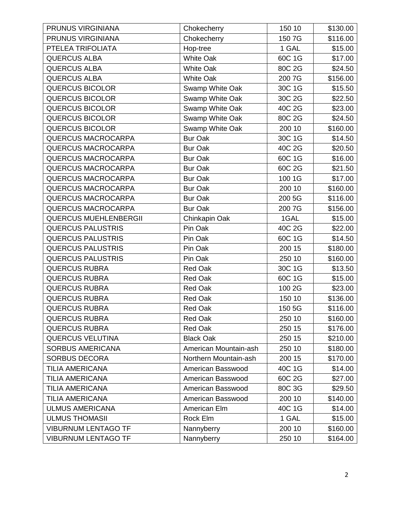| PRUNUS VIRGINIANA            | Chokecherry           | 150 10 | \$130.00 |
|------------------------------|-----------------------|--------|----------|
| PRUNUS VIRGINIANA            | Chokecherry           | 150 7G | \$116.00 |
| PTELEA TRIFOLIATA            | Hop-tree              | 1 GAL  | \$15.00  |
| <b>QUERCUS ALBA</b>          | <b>White Oak</b>      | 60C 1G | \$17.00  |
| <b>QUERCUS ALBA</b>          | <b>White Oak</b>      | 80C 2G | \$24.50  |
| <b>QUERCUS ALBA</b>          | <b>White Oak</b>      | 200 7G | \$156.00 |
| <b>QUERCUS BICOLOR</b>       | Swamp White Oak       | 30C 1G | \$15.50  |
| <b>QUERCUS BICOLOR</b>       | Swamp White Oak       | 30C 2G | \$22.50  |
| <b>QUERCUS BICOLOR</b>       | Swamp White Oak       | 40C 2G | \$23.00  |
| <b>QUERCUS BICOLOR</b>       | Swamp White Oak       | 80C 2G | \$24.50  |
| <b>QUERCUS BICOLOR</b>       | Swamp White Oak       | 200 10 | \$160.00 |
| QUERCUS MACROCARPA           | <b>Bur Oak</b>        | 30C 1G | \$14.50  |
| <b>QUERCUS MACROCARPA</b>    | <b>Bur Oak</b>        | 40C 2G | \$20.50  |
| <b>QUERCUS MACROCARPA</b>    | <b>Bur Oak</b>        | 60C 1G | \$16.00  |
| QUERCUS MACROCARPA           | <b>Bur Oak</b>        | 60C 2G | \$21.50  |
| <b>QUERCUS MACROCARPA</b>    | <b>Bur Oak</b>        | 100 1G | \$17.00  |
| <b>QUERCUS MACROCARPA</b>    | <b>Bur Oak</b>        | 200 10 | \$160.00 |
| <b>QUERCUS MACROCARPA</b>    | <b>Bur Oak</b>        | 200 5G | \$116.00 |
| QUERCUS MACROCARPA           | <b>Bur Oak</b>        | 200 7G | \$156.00 |
| <b>QUERCUS MUEHLENBERGII</b> | Chinkapin Oak         | 1GAL   | \$15.00  |
| <b>QUERCUS PALUSTRIS</b>     | Pin Oak               | 40C 2G | \$22.00  |
| <b>QUERCUS PALUSTRIS</b>     | Pin Oak               | 60C 1G | \$14.50  |
| <b>QUERCUS PALUSTRIS</b>     | Pin Oak               | 200 15 | \$180.00 |
| <b>QUERCUS PALUSTRIS</b>     | Pin Oak               | 250 10 | \$160.00 |
| <b>QUERCUS RUBRA</b>         | Red Oak               | 30C 1G | \$13.50  |
| <b>QUERCUS RUBRA</b>         | Red Oak               | 60C 1G | \$15.00  |
| <b>QUERCUS RUBRA</b>         | Red Oak               | 100 2G | \$23.00  |
| <b>QUERCUS RUBRA</b>         | Red Oak               | 150 10 | \$136.00 |
| <b>QUERCUS RUBRA</b>         | <b>Red Oak</b>        | 150 5G | \$116.00 |
| <b>QUERCUS RUBRA</b>         | Red Oak               | 250 10 | \$160.00 |
| <b>QUERCUS RUBRA</b>         | Red Oak               | 250 15 | \$176.00 |
| <b>QUERCUS VELUTINA</b>      | <b>Black Oak</b>      | 250 15 | \$210.00 |
| <b>SORBUS AMERICANA</b>      | American Mountain-ash | 250 10 | \$180.00 |
| <b>SORBUS DECORA</b>         | Northern Mountain-ash | 200 15 | \$170.00 |
| <b>TILIA AMERICANA</b>       | American Basswood     | 40C 1G | \$14.00  |
| <b>TILIA AMERICANA</b>       | American Basswood     | 60C 2G | \$27.00  |
| <b>TILIA AMERICANA</b>       | American Basswood     | 80C 3G | \$29.50  |
| <b>TILIA AMERICANA</b>       | American Basswood     | 200 10 | \$140.00 |
| <b>ULMUS AMERICANA</b>       | American Elm          | 40C 1G | \$14.00  |
| <b>ULMUS THOMASII</b>        | Rock Elm              | 1 GAL  | \$15.00  |
| <b>VIBURNUM LENTAGO TF</b>   | Nannyberry            | 200 10 | \$160.00 |
| <b>VIBURNUM LENTAGO TF</b>   | Nannyberry            | 250 10 | \$164.00 |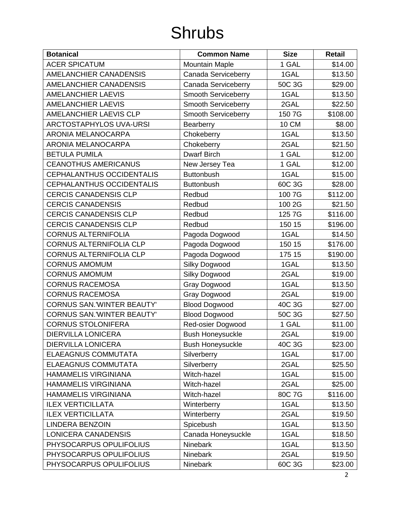## Shrubs

| <b>Botanical</b>                  | <b>Common Name</b>         | <b>Size</b>  | <b>Retail</b> |
|-----------------------------------|----------------------------|--------------|---------------|
| <b>ACER SPICATUM</b>              | <b>Mountain Maple</b>      | 1 GAL        | \$14.00       |
| <b>AMELANCHIER CANADENSIS</b>     | Canada Serviceberry        | 1GAL         | \$13.50       |
| <b>AMELANCHIER CANADENSIS</b>     | Canada Serviceberry        | 50C 3G       | \$29.00       |
| <b>AMELANCHIER LAEVIS</b>         | Smooth Serviceberry        | 1GAL         | \$13.50       |
| <b>AMELANCHIER LAEVIS</b>         | Smooth Serviceberry        | 2GAL         | \$22.50       |
| AMELANCHIER LAEVIS CLP            | <b>Smooth Serviceberry</b> | 150 7G       | \$108.00      |
| <b>ARCTOSTAPHYLOS UVA-URSI</b>    | Bearberry                  | <b>10 CM</b> | \$8.00        |
| <b>ARONIA MELANOCARPA</b>         | Chokeberry                 | 1GAL         | \$13.50       |
| <b>ARONIA MELANOCARPA</b>         | Chokeberry                 | 2GAL         | \$21.50       |
| <b>BETULA PUMILA</b>              | <b>Dwarf Birch</b>         | 1 GAL        | \$12.00       |
| <b>CEANOTHUS AMERICANUS</b>       | New Jersey Tea             | 1 GAL        | \$12.00       |
| CEPHALANTHUS OCCIDENTALIS         | <b>Buttonbush</b>          | 1GAL         | \$15.00       |
| <b>CEPHALANTHUS OCCIDENTALIS</b>  | <b>Buttonbush</b>          | 60C 3G       | \$28.00       |
| <b>CERCIS CANADENSIS CLP</b>      | Redbud                     | 100 7G       | \$112.00      |
| <b>CERCIS CANADENSIS</b>          | Redbud                     | 100 2G       | \$21.50       |
| <b>CERCIS CANADENSIS CLP</b>      | Redbud                     | 125 7G       | \$116.00      |
| <b>CERCIS CANADENSIS CLP</b>      | Redbud                     | 150 15       | \$196.00      |
| <b>CORNUS ALTERNIFOLIA</b>        | Pagoda Dogwood             | 1GAL         | \$14.50       |
| <b>CORNUS ALTERNIFOLIA CLP</b>    | Pagoda Dogwood             | 150 15       | \$176.00      |
| CORNUS ALTERNIFOLIA CLP           | Pagoda Dogwood             | 175 15       | \$190.00      |
| <b>CORNUS AMOMUM</b>              | Silky Dogwood              | 1GAL         | \$13.50       |
| <b>CORNUS AMOMUM</b>              | <b>Silky Dogwood</b>       | 2GAL         | \$19.00       |
| <b>CORNUS RACEMOSA</b>            | Gray Dogwood               | 1GAL         | \$13.50       |
| <b>CORNUS RACEMOSA</b>            | Gray Dogwood               | 2GAL         | \$19.00       |
| <b>CORNUS SAN.'WINTER BEAUTY'</b> | <b>Blood Dogwood</b>       | 40C 3G       | \$27.00       |
| <b>CORNUS SAN.'WINTER BEAUTY'</b> | <b>Blood Dogwood</b>       | 50C 3G       | \$27.50       |
| <b>CORNUS STOLONIFERA</b>         | Red-osier Dogwood          | 1 GAL        | \$11.00       |
| <b>DIERVILLA LONICERA</b>         | <b>Bush Honeysuckle</b>    | 2GAL         | \$19.00       |
| <b>DIERVILLA LONICERA</b>         | <b>Bush Honeysuckle</b>    | 40C 3G       | \$23.00       |
| <b>ELAEAGNUS COMMUTATA</b>        | Silverberry                | 1GAL         | \$17.00       |
| <b>ELAEAGNUS COMMUTATA</b>        | Silverberry                | 2GAL         | \$25.50       |
| HAMAMELIS VIRGINIANA              | Witch-hazel                | 1GAL         | \$15.00       |
| <b>HAMAMELIS VIRGINIANA</b>       | Witch-hazel                | 2GAL         | \$25.00       |
| <b>HAMAMELIS VIRGINIANA</b>       | Witch-hazel                | 80C 7G       | \$116.00      |
| <b>ILEX VERTICILLATA</b>          | Winterberry                | 1GAL         | \$13.50       |
| <b>ILEX VERTICILLATA</b>          | Winterberry                | 2GAL         | \$19.50       |
| <b>LINDERA BENZOIN</b>            | Spicebush                  | 1GAL         | \$13.50       |
| LONICERA CANADENSIS               | Canada Honeysuckle         | 1GAL         | \$18.50       |
| PHYSOCARPUS OPULIFOLIUS           | Ninebark                   | 1GAL         | \$13.50       |
| PHYSOCARPUS OPULIFOLIUS           | Ninebark                   | 2GAL         | \$19.50       |
| PHYSOCARPUS OPULIFOLIUS           | Ninebark                   | 60C 3G       | \$23.00       |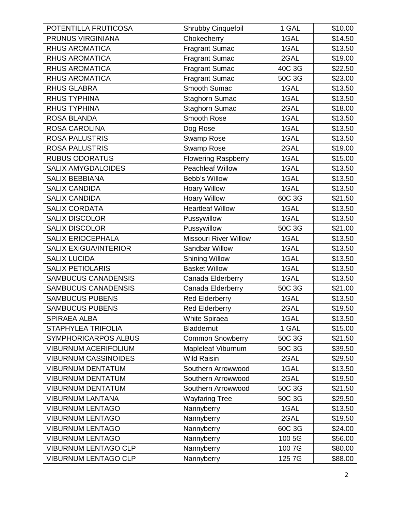| POTENTILLA FRUTICOSA         | Shrubby Cinquefoil           | 1 GAL  | \$10.00 |
|------------------------------|------------------------------|--------|---------|
| PRUNUS VIRGINIANA            | Chokecherry                  | 1GAL   | \$14.50 |
| <b>RHUS AROMATICA</b>        | <b>Fragrant Sumac</b>        | 1GAL   | \$13.50 |
| <b>RHUS AROMATICA</b>        | <b>Fragrant Sumac</b>        | 2GAL   | \$19.00 |
| <b>RHUS AROMATICA</b>        | <b>Fragrant Sumac</b>        | 40C 3G | \$22.50 |
| <b>RHUS AROMATICA</b>        | <b>Fragrant Sumac</b>        | 50C 3G | \$23.00 |
| <b>RHUS GLABRA</b>           | Smooth Sumac                 | 1GAL   | \$13.50 |
| <b>RHUS TYPHINA</b>          | Staghorn Sumac               | 1GAL   | \$13.50 |
| <b>RHUS TYPHINA</b>          | Staghorn Sumac               | 2GAL   | \$18.00 |
| <b>ROSA BLANDA</b>           | Smooth Rose                  | 1GAL   | \$13.50 |
| <b>ROSA CAROLINA</b>         | Dog Rose                     | 1GAL   | \$13.50 |
| <b>ROSA PALUSTRIS</b>        | Swamp Rose                   | 1GAL   | \$13.50 |
| <b>ROSA PALUSTRIS</b>        | Swamp Rose                   | 2GAL   | \$19.00 |
| <b>RUBUS ODORATUS</b>        | <b>Flowering Raspberry</b>   | 1GAL   | \$15.00 |
| <b>SALIX AMYGDALOIDES</b>    | <b>Peachleaf Willow</b>      | 1GAL   | \$13.50 |
| <b>SALIX BEBBIANA</b>        | Bebb's Willow                | 1GAL   | \$13.50 |
| <b>SALIX CANDIDA</b>         | <b>Hoary Willow</b>          | 1GAL   | \$13.50 |
| <b>SALIX CANDIDA</b>         | <b>Hoary Willow</b>          | 60C 3G | \$21.50 |
| <b>SALIX CORDATA</b>         | <b>Heartleaf Willow</b>      | 1GAL   | \$13.50 |
| <b>SALIX DISCOLOR</b>        | Pussywillow                  | 1GAL   | \$13.50 |
| <b>SALIX DISCOLOR</b>        | Pussywillow                  | 50C 3G | \$21.00 |
| <b>SALIX ERIOCEPHALA</b>     | <b>Missouri River Willow</b> | 1GAL   | \$13.50 |
| <b>SALIX EXIGUA/INTERIOR</b> | Sandbar Willow               | 1GAL   | \$13.50 |
| <b>SALIX LUCIDA</b>          | <b>Shining Willow</b>        | 1GAL   | \$13.50 |
| <b>SALIX PETIOLARIS</b>      | <b>Basket Willow</b>         | 1GAL   | \$13.50 |
| <b>SAMBUCUS CANADENSIS</b>   | Canada Elderberry            | 1GAL   | \$13.50 |
| <b>SAMBUCUS CANADENSIS</b>   | Canada Elderberry            | 50C 3G | \$21.00 |
| <b>SAMBUCUS PUBENS</b>       | <b>Red Elderberry</b>        | 1GAL   | \$13.50 |
| <b>SAMBUCUS PUBENS</b>       | <b>Red Elderberry</b>        | 2GAL   | \$19.50 |
| <b>SPIRAEA ALBA</b>          | <b>White Spiraea</b>         | 1GAL   | \$13.50 |
| STAPHYLEA TRIFOLIA           | <b>Bladdernut</b>            | 1 GAL  | \$15.00 |
| <b>SYMPHORICARPOS ALBUS</b>  | <b>Common Snowberry</b>      | 50C 3G | \$21.50 |
| <b>VIBURNUM ACERIFOLIUM</b>  | Mapleleaf Viburnum           | 50C 3G | \$39.50 |
| <b>VIBURNUM CASSINOIDES</b>  | <b>Wild Raisin</b>           | 2GAL   | \$29.50 |
| <b>VIBURNUM DENTATUM</b>     | Southern Arrowwood           | 1GAL   | \$13.50 |
| <b>VIBURNUM DENTATUM</b>     | Southern Arrowwood           | 2GAL   | \$19.50 |
| <b>VIBURNUM DENTATUM</b>     | Southern Arrowwood           | 50C 3G | \$21.50 |
| <b>VIBURNUM LANTANA</b>      | <b>Wayfaring Tree</b>        | 50C 3G | \$29.50 |
| <b>VIBURNUM LENTAGO</b>      | Nannyberry                   | 1GAL   | \$13.50 |
| <b>VIBURNUM LENTAGO</b>      | Nannyberry                   | 2GAL   | \$19.50 |
| <b>VIBURNUM LENTAGO</b>      | Nannyberry                   | 60C 3G | \$24.00 |
| <b>VIBURNUM LENTAGO</b>      | Nannyberry                   | 100 5G | \$56.00 |
| <b>VIBURNUM LENTAGO CLP</b>  | Nannyberry                   | 100 7G | \$80.00 |
| <b>VIBURNUM LENTAGO CLP</b>  | Nannyberry                   | 125 7G | \$88.00 |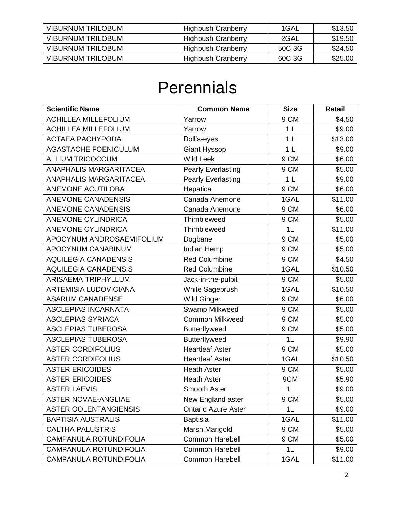| <b>VIBURNUM TRILOBUM</b> | <b>Highbush Cranberry</b> | 1GAL   | \$13.50 |
|--------------------------|---------------------------|--------|---------|
| <b>VIBURNUM TRILOBUM</b> | <b>Highbush Cranberry</b> | 2GAL   | \$19.50 |
| <b>VIBURNUM TRILOBUM</b> | <b>Highbush Cranberry</b> | 50C 3G | \$24.50 |
| <b>VIBURNUM TRILOBUM</b> | <b>Highbush Cranberry</b> | 60C 3G | \$25.00 |

#### **Perennials**

| <b>Scientific Name</b>        | <b>Common Name</b>         | <b>Size</b>    | Retail  |
|-------------------------------|----------------------------|----------------|---------|
| <b>ACHILLEA MILLEFOLIUM</b>   | Yarrow                     | 9 CM           | \$4.50  |
| <b>ACHILLEA MILLEFOLIUM</b>   | Yarrow                     | 1 <sub>L</sub> | \$9.00  |
| <b>ACTAEA PACHYPODA</b>       | Doll's-eyes                | 1 <sub>L</sub> | \$13.00 |
| AGASTACHE FOENICULUM          | <b>Giant Hyssop</b>        | 1 <sub>L</sub> | \$9.00  |
| <b>ALLIUM TRICOCCUM</b>       | <b>Wild Leek</b>           | 9 CM           | \$6.00  |
| <b>ANAPHALIS MARGARITACEA</b> | <b>Pearly Everlasting</b>  | 9 CM           | \$5.00  |
| <b>ANAPHALIS MARGARITACEA</b> | <b>Pearly Everlasting</b>  | 1 <sub>L</sub> | \$9.00  |
| ANEMONE ACUTILOBA             | Hepatica                   | 9 CM           | \$6.00  |
| <b>ANEMONE CANADENSIS</b>     | Canada Anemone             | 1GAL           | \$11.00 |
| <b>ANEMONE CANADENSIS</b>     | Canada Anemone             | 9 CM           | \$6.00  |
| <b>ANEMONE CYLINDRICA</b>     | Thimbleweed                | 9 CM           | \$5.00  |
| <b>ANEMONE CYLINDRICA</b>     | Thimbleweed                | 1L             | \$11.00 |
| APOCYNUM ANDROSAEMIFOLIUM     | Dogbane                    | 9 CM           | \$5.00  |
| APOCYNUM CANABINUM            | Indian Hemp                | 9 CM           | \$5.00  |
| <b>AQUILEGIA CANADENSIS</b>   | <b>Red Columbine</b>       | 9 CM           | \$4.50  |
| <b>AQUILEGIA CANADENSIS</b>   | <b>Red Columbine</b>       | 1GAL           | \$10.50 |
| <b>ARISAEMA TRIPHYLLUM</b>    | Jack-in-the-pulpit         | 9 CM           | \$5.00  |
| <b>ARTEMISIA LUDOVICIANA</b>  | White Sagebrush            | 1GAL           | \$10.50 |
| <b>ASARUM CANADENSE</b>       | <b>Wild Ginger</b>         | 9 CM           | \$6.00  |
| <b>ASCLEPIAS INCARNATA</b>    | Swamp Milkweed             | 9 CM           | \$5.00  |
| <b>ASCLEPIAS SYRIACA</b>      | <b>Common Milkweed</b>     | 9 CM           | \$5.00  |
| <b>ASCLEPIAS TUBEROSA</b>     | <b>Butterflyweed</b>       | 9 CM           | \$5.00  |
| <b>ASCLEPIAS TUBEROSA</b>     | <b>Butterflyweed</b>       | 1 <sub>L</sub> | \$9.90  |
| <b>ASTER CORDIFOLIUS</b>      | <b>Heartleaf Aster</b>     | 9 CM           | \$5.00  |
| <b>ASTER CORDIFOLIUS</b>      | <b>Heartleaf Aster</b>     | 1GAL           | \$10.50 |
| <b>ASTER ERICOIDES</b>        | <b>Heath Aster</b>         | 9 CM           | \$5.00  |
| <b>ASTER ERICOIDES</b>        | <b>Heath Aster</b>         | 9CM            | \$5.90  |
| <b>ASTER LAEVIS</b>           | Smooth Aster               | 1L             | \$9.00  |
| <b>ASTER NOVAE-ANGLIAE</b>    | New England aster          | 9 CM           | \$5.00  |
| <b>ASTER OOLENTANGIENSIS</b>  | <b>Ontario Azure Aster</b> | 1L             | \$9.00  |
| <b>BAPTISIA AUSTRALIS</b>     | <b>Baptisia</b>            | 1GAL           | \$11.00 |
| <b>CALTHA PALUSTRIS</b>       | Marsh Marigold             | 9 CM           | \$5.00  |
| <b>CAMPANULA ROTUNDIFOLIA</b> | <b>Common Harebell</b>     | 9 CM           | \$5.00  |
| CAMPANULA ROTUNDIFOLIA        | <b>Common Harebell</b>     | 1L             | \$9.00  |
| CAMPANULA ROTUNDIFOLIA        | <b>Common Harebell</b>     | 1GAL           | \$11.00 |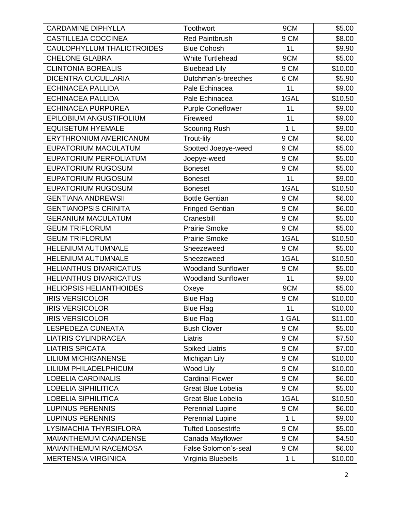| <b>CARDAMINE DIPHYLLA</b>      | Toothwort                 | 9CM            | \$5.00  |
|--------------------------------|---------------------------|----------------|---------|
| CASTILLEJA COCCINEA            | <b>Red Paintbrush</b>     | 9 CM           | \$8.00  |
| CAULOPHYLLUM THALICTROIDES     | <b>Blue Cohosh</b>        | 1L             | \$9.90  |
| <b>CHELONE GLABRA</b>          | <b>White Turtlehead</b>   | 9CM            | \$5.00  |
| <b>CLINTONIA BOREALIS</b>      | <b>Bluebead Lily</b>      | 9 CM           | \$10.00 |
| <b>DICENTRA CUCULLARIA</b>     | Dutchman's-breeches       | 6 CM           | \$5.90  |
| <b>ECHINACEA PALLIDA</b>       | Pale Echinacea            | 1L             | \$9.00  |
| <b>ECHINACEA PALLIDA</b>       | Pale Echinacea            | 1GAL           | \$10.50 |
| <b>ECHINACEA PURPUREA</b>      | <b>Purple Coneflower</b>  | 1L             | \$9.00  |
| EPILOBIUM ANGUSTIFOLIUM        | Fireweed                  | 1 <sub>L</sub> | \$9.00  |
| <b>EQUISETUM HYEMALE</b>       | <b>Scouring Rush</b>      | 1 <sub>L</sub> | \$9.00  |
| <b>ERYTHRONIUM AMERICANUM</b>  | <b>Trout-lily</b>         | 9 CM           | \$6.00  |
| <b>EUPATORIUM MACULATUM</b>    | Spotted Joepye-weed       | 9 CM           | \$5.00  |
| EUPATORIUM PERFOLIATUM         | Joepye-weed               | 9 CM           | \$5.00  |
| <b>EUPATORIUM RUGOSUM</b>      | <b>Boneset</b>            | 9 CM           | \$5.00  |
| <b>EUPATORIUM RUGOSUM</b>      | <b>Boneset</b>            | 1L             | \$9.00  |
| <b>EUPATORIUM RUGOSUM</b>      | <b>Boneset</b>            | 1GAL           | \$10.50 |
| <b>GENTIANA ANDREWSII</b>      | <b>Bottle Gentian</b>     | 9 CM           | \$6.00  |
| <b>GENTIANOPSIS CRINITA</b>    | <b>Fringed Gentian</b>    | 9 CM           | \$6.00  |
| <b>GERANIUM MACULATUM</b>      | Cranesbill                | 9 CM           | \$5.00  |
| <b>GEUM TRIFLORUM</b>          | <b>Prairie Smoke</b>      | 9 CM           | \$5.00  |
| <b>GEUM TRIFLORUM</b>          | <b>Prairie Smoke</b>      | 1GAL           | \$10.50 |
| HELENIUM AUTUMNALE             | Sneezeweed                | 9 CM           | \$5.00  |
| <b>HELENIUM AUTUMNALE</b>      | Sneezeweed                | 1GAL           | \$10.50 |
| <b>HELIANTHUS DIVARICATUS</b>  | <b>Woodland Sunflower</b> | 9 CM           | \$5.00  |
| <b>HELIANTHUS DIVARICATUS</b>  | <b>Woodland Sunflower</b> | 1L             | \$9.00  |
| <b>HELIOPSIS HELIANTHOIDES</b> | Oxeye                     | 9CM            | \$5.00  |
| <b>IRIS VERSICOLOR</b>         | <b>Blue Flag</b>          | 9 CM           | \$10.00 |
| <b>IRIS VERSICOLOR</b>         | <b>Blue Flag</b>          | 1L             | \$10.00 |
| <b>IRIS VERSICOLOR</b>         | <b>Blue Flag</b>          | 1 GAL          | \$11.00 |
| LESPEDEZA CUNEATA              | <b>Bush Clover</b>        | 9 CM           | \$5.00  |
| <b>LIATRIS CYLINDRACEA</b>     | Liatris                   | 9 CM           | \$7.50  |
| <b>LIATRIS SPICATA</b>         | <b>Spiked Liatris</b>     | 9 CM           | \$7.00  |
| <b>LILIUM MICHIGANENSE</b>     | Michigan Lily             | 9 CM           | \$10.00 |
| LILIUM PHILADELPHICUM          | Wood Lily                 | 9 CM           | \$10.00 |
| <b>LOBELIA CARDINALIS</b>      | <b>Cardinal Flower</b>    | 9 CM           | \$6.00  |
| <b>LOBELIA SIPHILITICA</b>     | <b>Great Blue Lobelia</b> | 9 CM           | \$5.00  |
| <b>LOBELIA SIPHILITICA</b>     | <b>Great Blue Lobelia</b> | 1GAL           | \$10.50 |
| <b>LUPINUS PERENNIS</b>        | <b>Perennial Lupine</b>   | 9 CM           | \$6.00  |
| <b>LUPINUS PERENNIS</b>        | <b>Perennial Lupine</b>   | 1 <sub>L</sub> | \$9.00  |
| LYSIMACHIA THYRSIFLORA         | <b>Tufted Loosestrife</b> | 9 CM           | \$5.00  |
| <b>MAIANTHEMUM CANADENSE</b>   | Canada Mayflower          | 9 CM           | \$4.50  |
| MAIANTHEMUM RACEMOSA           | False Solomon's-seal      | 9 CM           | \$6.00  |
| <b>MERTENSIA VIRGINICA</b>     | Virginia Bluebells        | 1 <sub>L</sub> | \$10.00 |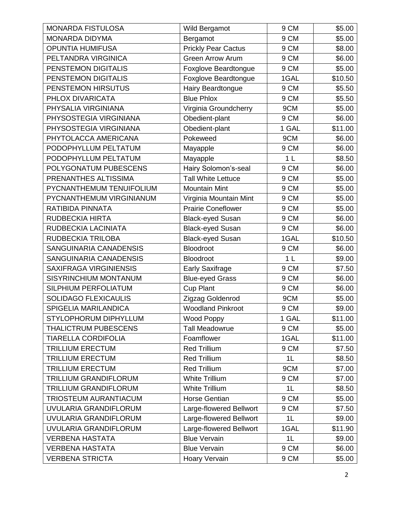| <b>MONARDA FISTULOSA</b>      | Wild Bergamot              | 9 CM           | \$5.00  |
|-------------------------------|----------------------------|----------------|---------|
| MONARDA DIDYMA                | Bergamot                   | 9 CM           | \$5.00  |
| <b>OPUNTIA HUMIFUSA</b>       | <b>Prickly Pear Cactus</b> | 9 CM           | \$8.00  |
| PELTANDRA VIRGINICA           | <b>Green Arrow Arum</b>    | 9 CM           | \$6.00  |
| PENSTEMON DIGITALIS           | Foxglove Beardtongue       | 9 CM           | \$5.00  |
| PENSTEMON DIGITALIS           | Foxglove Beardtongue       | 1GAL           | \$10.50 |
| PENSTEMON HIRSUTUS            | Hairy Beardtongue          | 9 CM           | \$5.50  |
| PHLOX DIVARICATA              | <b>Blue Phlox</b>          | 9 CM           | \$5.50  |
| PHYSALIA VIRGINIANA           | Virginia Groundcherry      | 9CM            | \$5.00  |
| PHYSOSTEGIA VIRGINIANA        | Obedient-plant             | 9 CM           | \$6.00  |
| PHYSOSTEGIA VIRGINIANA        | Obedient-plant             | 1 GAL          | \$11.00 |
| PHYTOLACCA AMERICANA          | Pokeweed                   | 9CM            | \$6.00  |
| PODOPHYLLUM PELTATUM          | Mayapple                   | 9 CM           | \$6.00  |
| PODOPHYLLUM PELTATUM          | Mayapple                   | 1 <sub>L</sub> | \$8.50  |
| POLYGONATUM PUBESCENS         | Hairy Solomon's-seal       | 9 CM           | \$6.00  |
| PRENANTHES ALTISSIMA          | <b>Tall White Lettuce</b>  | 9 CM           | \$5.00  |
| PYCNANTHEMUM TENUIFOLIUM      | <b>Mountain Mint</b>       | 9 CM           | \$5.00  |
| PYCNANTHEMUM VIRGINIANUM      | Virginia Mountain Mint     | 9 CM           | \$5.00  |
| RATIBIDA PINNATA              | <b>Prairie Coneflower</b>  | 9 CM           | \$5.00  |
| RUDBECKIA HIRTA               | <b>Black-eyed Susan</b>    | 9 CM           | \$6.00  |
| RUDBECKIA LACINIATA           | <b>Black-eyed Susan</b>    | 9 CM           | \$6.00  |
| RUDBECKIA TRILOBA             | <b>Black-eyed Susan</b>    | 1GAL           | \$10.50 |
| SANGUINARIA CANADENSIS        | Bloodroot                  | 9 CM           | \$6.00  |
| SANGUINARIA CANADENSIS        | Bloodroot                  | 1 <sub>L</sub> | \$9.00  |
| <b>SAXIFRAGA VIRGINIENSIS</b> | <b>Early Saxifrage</b>     | 9 CM           | \$7.50  |
| SISYRINCHIUM MONTANUM         | <b>Blue-eyed Grass</b>     | 9 CM           | \$6.00  |
| SILPHIUM PERFOLIATUM          | <b>Cup Plant</b>           | 9 CM           | \$6.00  |
| <b>SOLIDAGO FLEXICAULIS</b>   | Zigzag Goldenrod           | 9CM            | \$5.00  |
| SPIGELIA MARILANDICA          | <b>Woodland Pinkroot</b>   | 9 CM           | \$9.00  |
| <b>STYLOPHORUM DIPHYLLUM</b>  | Wood Poppy                 | 1 GAL          | \$11.00 |
| <b>THALICTRUM PUBESCENS</b>   | <b>Tall Meadowrue</b>      | 9 CM           | \$5.00  |
| <b>TIARELLA CORDIFOLIA</b>    | Foamflower                 | 1GAL           | \$11.00 |
| <b>TRILLIUM ERECTUM</b>       | <b>Red Trillium</b>        | 9 CM           | \$7.50  |
| <b>TRILLIUM ERECTUM</b>       | <b>Red Trillium</b>        | 1L             | \$8.50  |
| <b>TRILLIUM ERECTUM</b>       | <b>Red Trillium</b>        | 9CM            | \$7.00  |
| TRILLIUM GRANDIFLORUM         | <b>White Trillium</b>      | 9 CM           | \$7.00  |
| TRILLIUM GRANDIFLORUM         | <b>White Trillium</b>      | 1L             | \$8.50  |
| TRIOSTEUM AURANTIACUM         | <b>Horse Gentian</b>       | 9 CM           | \$5.00  |
| UVULARIA GRANDIFLORUM         | Large-flowered Bellwort    | 9 CM           | \$7.50  |
| UVULARIA GRANDIFLORUM         | Large-flowered Bellwort    | 1L             | \$9.00  |
| UVULARIA GRANDIFLORUM         | Large-flowered Bellwort    | 1GAL           | \$11.90 |
| <b>VERBENA HASTATA</b>        | <b>Blue Vervain</b>        | 1L             | \$9.00  |
| <b>VERBENA HASTATA</b>        | <b>Blue Vervain</b>        | 9 CM           | \$6.00  |
| <b>VERBENA STRICTA</b>        | Hoary Vervain              | 9 CM           | \$5.00  |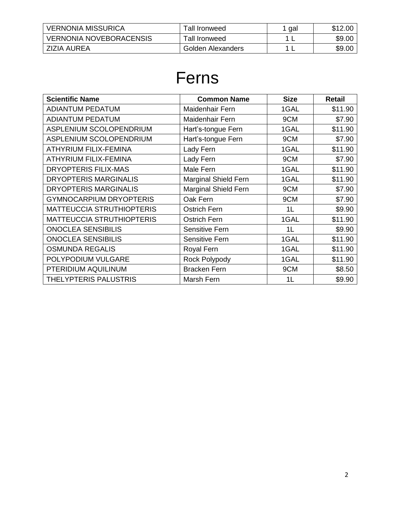| <b>VERNONIA MISSURICA</b>      | Tall Ironweed        | gal | \$12.00 |
|--------------------------------|----------------------|-----|---------|
| <b>VERNONIA NOVEBORACENSIS</b> | <b>Tall Ironweed</b> |     | \$9.00  |
| ZIZIA AUREA                    | Golden Alexanders    |     | \$9.00  |

#### Ferns

| <b>Scientific Name</b>           | <b>Common Name</b>          | <b>Size</b> | <b>Retail</b> |
|----------------------------------|-----------------------------|-------------|---------------|
| <b>ADIANTUM PEDATUM</b>          | Maidenhair Fern             | 1GAL        | \$11.90       |
| <b>ADIANTUM PEDATUM</b>          | Maidenhair Fern             | 9CM         | \$7.90        |
| ASPLENIUM SCOLOPENDRIUM          | Hart's-tongue Fern          | 1GAL        | \$11.90       |
| ASPLENIUM SCOLOPENDRIUM          | Hart's-tongue Fern          | 9CM         | \$7.90        |
| ATHYRIUM FILIX-FEMINA            | Lady Fern                   | 1GAL        | \$11.90       |
| <b>ATHYRIUM FILIX-FEMINA</b>     | Lady Fern                   | 9CM         | \$7.90        |
| <b>DRYOPTERIS FILIX-MAS</b>      | Male Fern                   | 1GAL        | \$11.90       |
| <b>DRYOPTERIS MARGINALIS</b>     | <b>Marginal Shield Fern</b> | 1GAL        | \$11.90       |
| <b>DRYOPTERIS MARGINALIS</b>     | <b>Marginal Shield Fern</b> | 9CM         | \$7.90        |
| <b>GYMNOCARPIUM DRYOPTERIS</b>   | Oak Fern                    | 9CM         | \$7.90        |
| <b>MATTEUCCIA STRUTHIOPTERIS</b> | <b>Ostrich Fern</b>         | 1L          | \$9.90        |
| <b>MATTEUCCIA STRUTHIOPTERIS</b> | <b>Ostrich Fern</b>         | 1GAL        | \$11.90       |
| <b>ONOCLEA SENSIBILIS</b>        | <b>Sensitive Fern</b>       | 1L          | \$9.90        |
| <b>ONOCLEA SENSIBILIS</b>        | <b>Sensitive Fern</b>       | 1GAL        | \$11.90       |
| <b>OSMUNDA REGALIS</b>           | Royal Fern                  | 1GAL        | \$11.90       |
| POLYPODIUM VULGARE               | Rock Polypody               | 1GAL        | \$11.90       |
| PTERIDIUM AQUILINUM              | <b>Bracken Fern</b>         | 9CM         | \$8.50        |
| <b>THELYPTERIS PALUSTRIS</b>     | Marsh Fern                  | 1L          | \$9.90        |